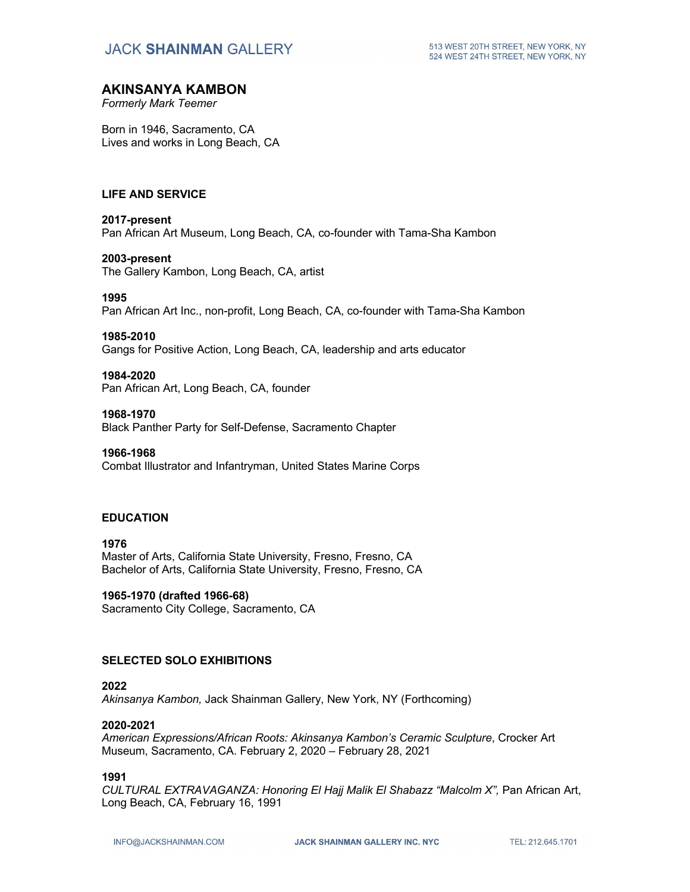# **JACK SHAINMAN GALLERY**

### **AKINSANYA KAMBON**

*Formerly Mark Teemer*

Born in 1946, Sacramento, CA Lives and works in Long Beach, CA

### **LIFE AND SERVICE**

### **2017-present**

Pan African Art Museum, Long Beach, CA, co-founder with Tama-Sha Kambon

#### **2003-present**

The Gallery Kambon, Long Beach, CA, artist

#### **1995**

Pan African Art Inc., non-profit, Long Beach, CA, co-founder with Tama-Sha Kambon

#### **1985-2010**

Gangs for Positive Action, Long Beach, CA, leadership and arts educator

### **1984-2020**

Pan African Art, Long Beach, CA, founder

#### **1968-1970**

Black Panther Party for Self-Defense, Sacramento Chapter

### **1966-1968**

Combat Illustrator and Infantryman, United States Marine Corps

### **EDUCATION**

**1976**  Master of Arts, California State University, Fresno, Fresno, CA Bachelor of Arts, California State University, Fresno, Fresno, CA

### **1965-1970 (drafted 1966-68)**

Sacramento City College, Sacramento, CA

### **SELECTED SOLO EXHIBITIONS**

### **2022**

*Akinsanya Kambon,* Jack Shainman Gallery, New York, NY (Forthcoming)

### **2020-2021**

*American Expressions/African Roots: Akinsanya Kambon's Ceramic Sculpture*, Crocker Art Museum, Sacramento, CA. February 2, 2020 – February 28, 2021

### **1991**

CULTURAL EXTRAVAGANZA: Honoring El Hajj Malik El Shabazz "Malcolm X", Pan African Art, Long Beach, CA, February 16, 1991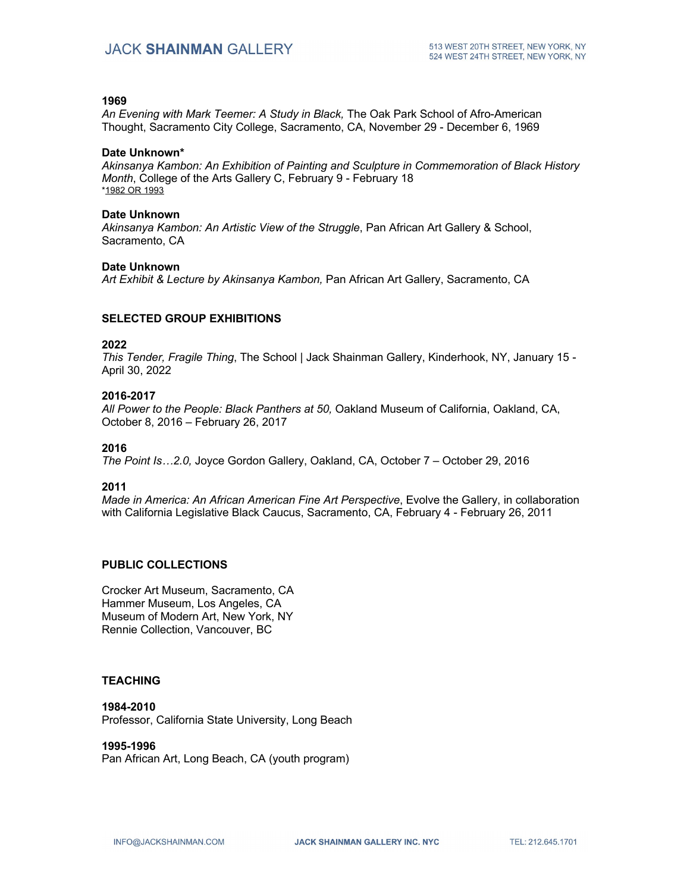#### **1969**

*An Evening with Mark Teemer: A Study in Black,* The Oak Park School of Afro-American Thought, Sacramento City College, Sacramento, CA, November 29 - December 6, 1969

#### **Date Unknown\***

*Akinsanya Kambon: An Exhibition of Painting and Sculpture in Commemoration of Black History Month*, College of the Arts Gallery C, February 9 - February 18 \*1982 OR 1993

#### **Date Unknown**

*Akinsanya Kambon: An Artistic View of the Struggle*, Pan African Art Gallery & School, Sacramento, CA

#### **Date Unknown**

*Art Exhibit & Lecture by Akinsanya Kambon,* Pan African Art Gallery, Sacramento, CA

### **SELECTED GROUP EXHIBITIONS**

#### **2022**

*This Tender, Fragile Thing*, The School | Jack Shainman Gallery, Kinderhook, NY, January 15 - April 30, 2022

#### **2016-2017**

*All Power to the People: Black Panthers at 50,* Oakland Museum of California, Oakland, CA, October 8, 2016 – February 26, 2017

#### **2016**

*The Point Is…2.0,* Joyce Gordon Gallery, Oakland, CA, October 7 – October 29, 2016

### **2011**

*Made in America: An African American Fine Art Perspective*, Evolve the Gallery, in collaboration with California Legislative Black Caucus, Sacramento, CA, February 4 - February 26, 2011

### **PUBLIC COLLECTIONS**

Crocker Art Museum, Sacramento, CA Hammer Museum, Los Angeles, CA Museum of Modern Art, New York, NY Rennie Collection, Vancouver, BC

### **TEACHING**

### **1984-2010**

Professor, California State University, Long Beach

#### **1995-1996**

Pan African Art, Long Beach, CA (youth program)